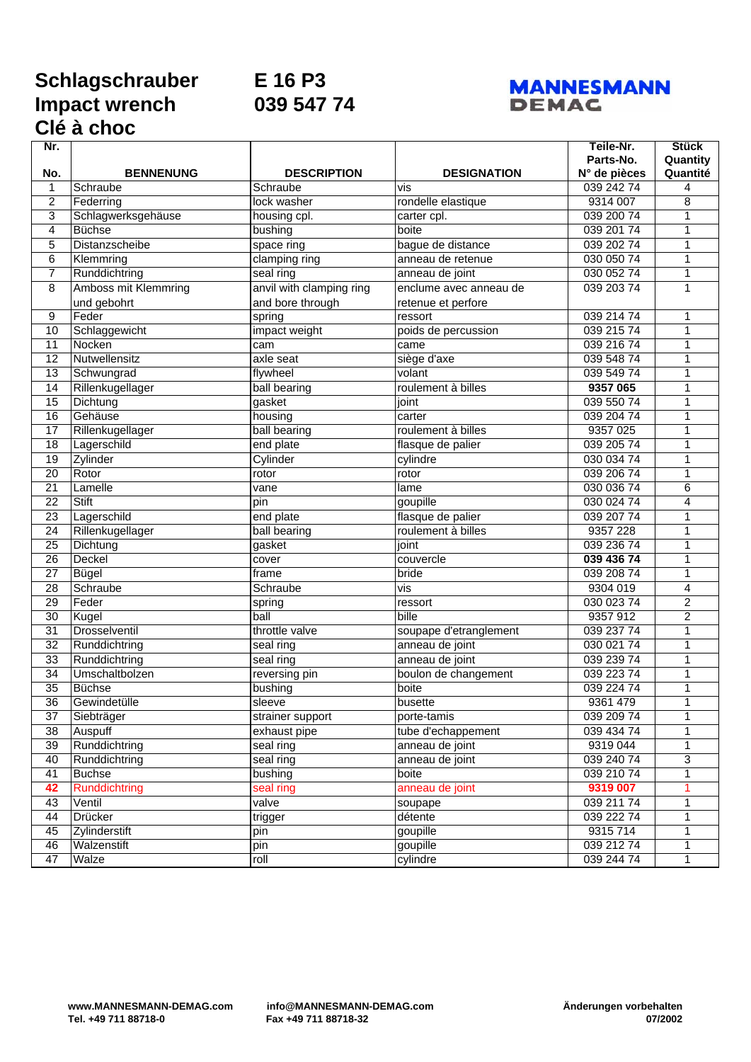## **Schlagschrauber E 16 P3 Impact wrench 039 547 74 Clé à choc**

## **MANNESMANN DEMAC**

| Nr.             |                      |                          |                        | Teile-Nr.    | <b>Stück</b>   |
|-----------------|----------------------|--------------------------|------------------------|--------------|----------------|
|                 |                      |                          |                        | Parts-No.    | Quantity       |
| No.             | <b>BENNENUNG</b>     | <b>DESCRIPTION</b>       | <b>DESIGNATION</b>     | N° de pièces | Quantité       |
| 1               | Schraube             | Schraube                 | vis                    | 039 242 74   | 4              |
| 2               | Federring            | lock washer              | rondelle elastique     | 9314 007     | 8              |
| 3               | Schlagwerksgehäuse   | housing cpl.             | carter cpl.            | 039 200 74   | 1              |
| 4               | <b>Büchse</b>        | bushing                  | boite                  | 039 201 74   | 1              |
| 5               | Distanzscheibe       | space ring               | bague de distance      | 039 202 74   | 1              |
| 6               | Klemmring            | clamping ring            | anneau de retenue      | 030 050 74   | 1              |
| 7               | Runddichtring        | seal ring                | anneau de joint        | 030 052 74   | $\mathbf{1}$   |
| 8               | Amboss mit Klemmring | anvil with clamping ring | enclume avec anneau de | 039 203 74   | 1              |
|                 | und gebohrt          | and bore through         | retenue et perfore     |              |                |
| 9               | Feder                | spring                   | ressort                | 039 214 74   | 1              |
| 10              | Schlaggewicht        | impact weight            | poids de percussion    | 039 215 74   | 1              |
| 11              | Nocken               | cam                      | came                   | 039 216 74   | 1              |
| 12              | Nutwellensitz        | axle seat                | siège d'axe            | 039 548 74   | 1              |
| 13              | Schwungrad           | flywheel                 | volant                 | 039 549 74   | 1              |
| 14              | Rillenkugellager     | ball bearing             | roulement à billes     | 9357 065     | 1              |
| 15              | Dichtung             | gasket                   | joint                  | 039 550 74   | 1              |
| 16              | Gehäuse              | housing                  | carter                 | 039 204 74   | 1              |
| 17              | Rillenkugellager     | ball bearing             | roulement à billes     | 9357 025     | 1              |
| $\overline{18}$ | Lagerschild          | end plate                | flasque de palier      | 039 205 74   | 1              |
| 19              | Zylinder             | Cylinder                 | cylindre               | 030 034 74   | 1              |
| 20              | Rotor                | rotor                    | rotor                  | 039 206 74   | 1              |
| 21              | Lamelle              | vane                     | lame                   | 030 036 74   | 6              |
| 22              | Stift                | pin                      | goupille               | 030 024 74   | 4              |
| 23              | Lagerschild          | end plate                | flasque de palier      | 039 207 74   | 1              |
| 24              | Rillenkugellager     | ball bearing             | roulement à billes     | 9357 228     | 1              |
| 25              | Dichtung             | gasket                   | joint                  | 039 236 74   | 1              |
| $\overline{26}$ | Deckel               | cover                    | couvercle              | 039 436 74   | 1              |
| 27              | Bügel                | frame                    | bride                  | 039 208 74   | $\mathbf{1}$   |
| 28              | Schraube             | Schraube                 | vis                    | 9304 019     | 4              |
| 29              | Feder                | spring                   | ressort                | 030 023 74   | $\overline{c}$ |
| 30              | Kugel                | ball                     | bille                  | 9357 912     | $\overline{c}$ |
| 31              | Drosselventil        | throttle valve           | soupape d'etranglement | 039 237 74   | 1              |
| 32              | Runddichtring        | seal ring                | anneau de joint        | 030 021 74   | 1              |
| 33              | Runddichtring        | seal ring                | anneau de joint        | 039 239 74   | 1              |
| 34              | Umschaltbolzen       | reversing pin            | boulon de changement   | 039 223 74   | 1              |
| 35              | <b>Büchse</b>        | bushing                  | boite                  | 039 224 74   | 1              |
| 36              | Gewindetülle         | sleeve                   | busette                | 9361 479     | $\mathbf{1}$   |
| 37              | Siebträger           | strainer support         | porte-tamis            | 039 209 74   | 1              |
| $\overline{38}$ | Auspuff              | exhaust pipe             | tube d'echappement     | 039 434 74   | 1              |
| 39              | Runddichtring        | seal ring                | anneau de joint        | 9319 044     | 1              |
| 40              | Runddichtring        | seal ring                | anneau de joint        | 039 240 74   | 3              |
| 41              | <b>Buchse</b>        | bushing                  | boite                  | 039 210 74   | 1              |
| 42              | <b>Runddichtring</b> | seal ring                | anneau de joint        | 9319 007     | 1              |
| 43              | Ventil               | valve                    | soupape                | 039 211 74   | 1              |
| 44              | Drücker              | trigger                  | détente                | 039 222 74   | 1              |
| 45              | Zylinderstift        | pin                      | goupille               | 9315 714     | 1              |
| 46              | Walzenstift          | pin                      | goupille               | 039 212 74   | 1              |
| 47              | Walze                | roll                     | cylindre               | 039 244 74   | $\mathbf{1}$   |